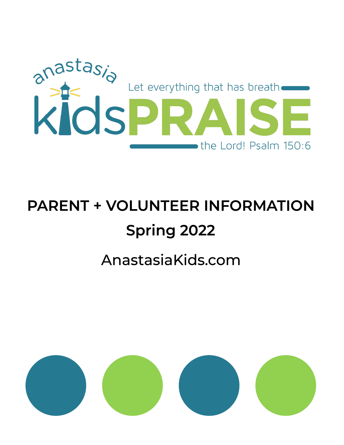

# **PARENT + VOLUNTEER INFORMATION Spring 2022**

# AnastasiaKids.com

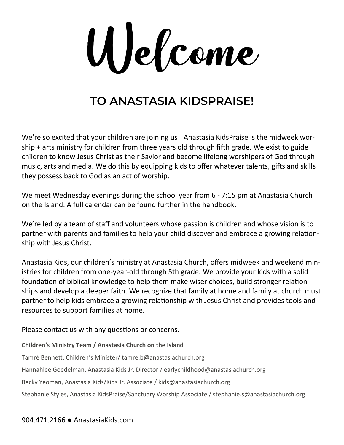Welcome

### **TO ANASTASIA KIDSPRAISE!**

We're so excited that your children are joining us! Anastasia KidsPraise is the midweek worship + arts ministry for children from three years old through fifth grade. We exist to guide children to know Jesus Christ as their Savior and become lifelong worshipers of God through music, arts and media. We do this by equipping kids to offer whatever talents, gifts and skills they possess back to God as an act of worship.

We meet Wednesday evenings during the school year from 6 - 7:15 pm at Anastasia Church on the Island. A full calendar can be found further in the handbook.

We're led by a team of staff and volunteers whose passion is children and whose vision is to partner with parents and families to help your child discover and embrace a growing relationship with Jesus Christ.

Anastasia Kids, our children's ministry at Anastasia Church, offers midweek and weekend ministries for children from one-year-old through 5th grade. We provide your kids with a solid foundation of biblical knowledge to help them make wiser choices, build stronger relationships and develop a deeper faith. We recognize that family at home and family at church must partner to help kids embrace a growing relationship with Jesus Christ and provides tools and resources to support families at home.

Please contact us with any questions or concerns.

**Children's Ministry Team / Anastasia Church on the Island**

Tamré Bennett, Children's Minister/ tamre.b@anastasiachurch.org

Hannahlee Goedelman, Anastasia Kids Jr. Director / earlychildhood@anastasiachurch.org

Becky Yeoman, Anastasia Kids/Kids Jr. Associate / kids@anastasiachurch.org

Stephanie Styles, Anastasia KidsPraise/Sanctuary Worship Associate / stephanie.s@anastasiachurch.org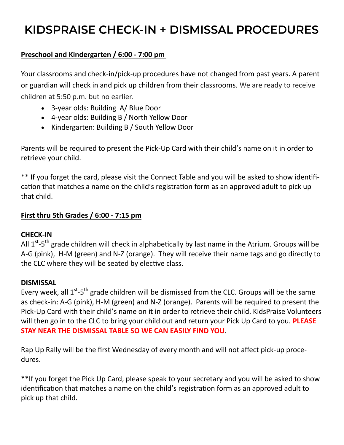### KIDSPRAISE CHECK-IN + DISMISSAL PROCEDURES

### **Preschool and Kindergarten / 6:00 - 7:00 pm**

Your classrooms and check-in/pick-up procedures have not changed from past years. A parent or guardian will check in and pick up children from their classrooms. We are ready to receive children at 5:50 p.m. but no earlier.

- 3-year olds: Building A/ Blue Door
- 4-year olds: Building B / North Yellow Door
- Kindergarten: Building B / South Yellow Door

Parents will be required to present the Pick-Up Card with their child's name on it in order to retrieve your child.

\*\* If you forget the card, please visit the Connect Table and you will be asked to show identification that matches a name on the child's registration form as an approved adult to pick up that child.

### **First thru 5th Grades / 6:00 - 7:15 pm**

#### **CHECK-IN**

All 1<sup>st</sup>-5<sup>th</sup> grade children will check in alphabetically by last name in the Atrium. Groups will be A-G (pink), H-M (green) and N-Z (orange). They will receive their name tags and go directly to the CLC where they will be seated by elective class.

#### **DISMISSAL**

Every week, all  $1^{st}$ -5<sup>th</sup> grade children will be dismissed from the CLC. Groups will be the same as check-in: A-G (pink), H-M (green) and N-Z (orange). Parents will be required to present the Pick-Up Card with their child's name on it in order to retrieve their child. KidsPraise Volunteers will then go in to the CLC to bring your child out and return your Pick Up Card to you. **PLEASE STAY NEAR THE DISMISSAL TABLE SO WE CAN EASILY FIND YOU**.

Rap Up Rally will be the first Wednesday of every month and will not affect pick-up procedures.

\*\*If you forget the Pick Up Card, please speak to your secretary and you will be asked to show identification that matches a name on the child's registration form as an approved adult to pick up that child.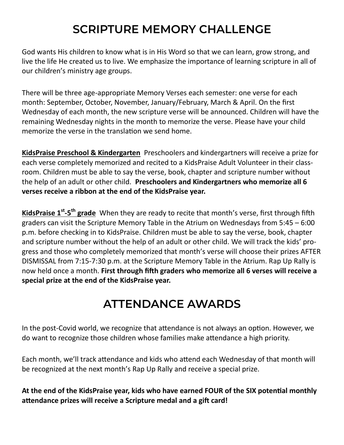### **SCRIPTURE MEMORY CHALLENGE**

God wants His children to know what is in His Word so that we can learn, grow strong, and live the life He created us to live. We emphasize the importance of learning scripture in all of our children's ministry age groups.

There will be three age-appropriate Memory Verses each semester: one verse for each month: September, October, November, January/February, March & April. On the first Wednesday of each month, the new scripture verse will be announced. Children will have the remaining Wednesday nights in the month to memorize the verse. Please have your child memorize the verse in the translation we send home.

**KidsPraise Preschool & Kindergarten** Preschoolers and kindergartners will receive a prize for each verse completely memorized and recited to a KidsPraise Adult Volunteer in their classroom. Children must be able to say the verse, book, chapter and scripture number without the help of an adult or other child. **Preschoolers and Kindergartners who memorize all 6 verses receive a ribbon at the end of the KidsPraise year.**

**KidsPraise 1st -5 th grade** When they are ready to recite that month's verse, first through fifth graders can visit the Scripture Memory Table in the Atrium on Wednesdays from 5:45 – 6:00 p.m. before checking in to KidsPraise. Children must be able to say the verse, book, chapter and scripture number without the help of an adult or other child. We will track the kids' progress and those who completely memorized that month's verse will choose their prizes AFTER DISMISSAL from 7:15-7:30 p.m. at the Scripture Memory Table in the Atrium. Rap Up Rally is now held once a month. **First through fifth graders who memorize all 6 verses will receive a special prize at the end of the KidsPraise year.**

### **ATTENDANCE AWARDS**

In the post-Covid world, we recognize that attendance is not always an option. However, we do want to recognize those children whose families make attendance a high priority.

Each month, we'll track attendance and kids who attend each Wednesday of that month will be recognized at the next month's Rap Up Rally and receive a special prize.

**At the end of the KidsPraise year, kids who have earned FOUR of the SIX potential monthly attendance prizes will receive a Scripture medal and a gift card!**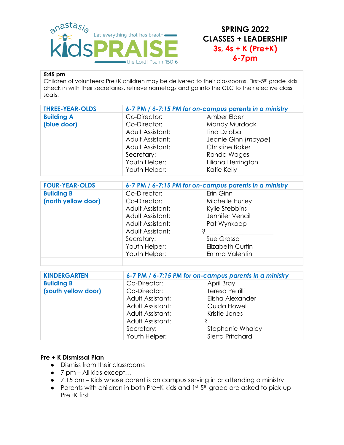

### **SPRING 2022 CLASSES + LEADERSHIP 3s, 4s + K (Pre+K) 6-7pm**

#### **5:45 pm**

Children of volunteers: Pre+K children may be delivered to their classrooms. First-5th grade kids check in with their secretaries, retrieve nametags and go into the CLC to their elective class seats.

| <b>THREE-YEAR-OLDS</b> |                  | 6-7 PM / 6-7:15 PM for on-campus parents in a ministry |  |
|------------------------|------------------|--------------------------------------------------------|--|
| <b>Building A</b>      | Co-Director:     | Amber Elder                                            |  |
| (blue door)            | Co-Director:     | Mandy Murdock                                          |  |
|                        | Adult Assistant: | Tina Dzioba                                            |  |
|                        | Adult Assistant: | Jeanie Ginn (maybe)                                    |  |
|                        | Adult Assistant: | <b>Christine Baker</b>                                 |  |
|                        | Secretary:       | Ronda Wages                                            |  |
|                        | Youth Helper:    | Liliana Herrington                                     |  |
|                        | Youth Helper:    | Katie Kelly                                            |  |

| <b>FOUR-YEAR-OLDS</b> | 6-7 PM / 6-7:15 PM for on-campus parents in a ministry |                         |
|-----------------------|--------------------------------------------------------|-------------------------|
| <b>Building B</b>     | Co-Director:                                           | Erin Ginn               |
| (north yellow door)   | Co-Director:                                           | Michelle Hurley         |
|                       | Adult Assistant:                                       | Kylie Stebbins          |
|                       | Adult Assistant:                                       | Jennifer Vencil         |
|                       | Adult Assistant:                                       | Pat Wynkoop             |
|                       | Adult Assistant:                                       | S                       |
|                       | Secretary:                                             | Sue Grasso              |
|                       | Youth Helper:                                          | <b>Elizabeth Curtin</b> |
|                       | Youth Helper:                                          | Emma Valentin           |

| <b>KINDERGARTEN</b> | 6-7 PM / 6-7:15 PM for on-campus parents in a ministry |                  |
|---------------------|--------------------------------------------------------|------------------|
| <b>Building B</b>   | Co-Director:                                           | April Bray       |
| (south yellow door) | Co-Director:                                           | Teresa Petrilli  |
|                     | Adult Assistant:                                       | Elisha Alexander |
|                     | Adult Assistant:                                       | Ouida Howell     |
|                     | Adult Assistant:                                       | Kristle Jones    |
|                     | Adult Assistant:                                       |                  |
|                     | Secretary:                                             | Stephanie Whaley |
|                     | Youth Helper:                                          | Sierra Pritchard |

#### **Pre + K Dismissal Plan**

- Dismiss from their classrooms
- 7 pm All kids except...
- 7:15 pm Kids whose parent is on campus serving in or attending a ministry
- Parents with children in both Pre+K kids and 1st-5th grade are asked to pick up Pre+K first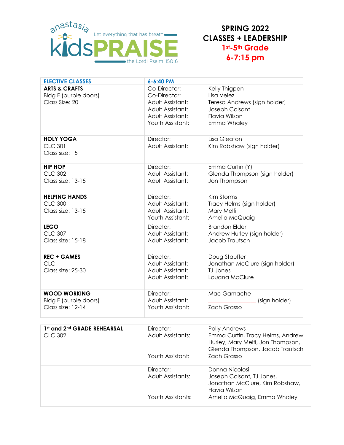

**SPRING 2022 CLASSES + LEADERSHIP 1st-5th Grade 6-7:15 pm**

| <b>ELECTIVE CLASSES</b>                                             | 6-6:40 PM                                                                                                    |                                                                                                               |
|---------------------------------------------------------------------|--------------------------------------------------------------------------------------------------------------|---------------------------------------------------------------------------------------------------------------|
| <b>ARTS &amp; CRAFTS</b><br>Bldg F (purple doors)<br>Class Size: 20 | Co-Director:<br>Co-Director:<br>Adult Assistant:<br>Adult Assistant:<br>Adult Assistant:<br>Youth Assistant: | Kelly Thigpen<br>Lisa Velez<br>Teresa Andrews (sign holder)<br>Joseph Colsant<br>Flavia Wilson<br>Emma Whaley |
| <b>HOLY YOGA</b><br><b>CLC 301</b><br>Class size: 15                | Director:<br>Adult Assistant:                                                                                | Lisa Gleaton<br>Kim Robshaw (sign holder)                                                                     |
| <b>HIP HOP</b><br><b>CLC 302</b><br>Class size: 13-15               | Director:<br>Adult Assistant:<br>Adult Assistant:                                                            | Emma Curtin (Y)<br>Glenda Thompson (sign holder)<br>Jon Thompson                                              |
| <b>HELPING HANDS</b><br><b>CLC 300</b><br>Class size: 13-15         | Director:<br>Adult Assistant:<br>Adult Assistant:<br>Youth Assistant:                                        | Kim Storms<br>Tracy Helms (sign holder)<br>Mary Melfi<br>Amelia McQuaig                                       |
| <b>LEGO</b><br><b>CLC 307</b><br>Class size: 15-18                  | Director:<br>Adult Assistant:<br>Adult Assistant:                                                            | <b>Brandon Elder</b><br>Andrew Hurley (sign holder)<br>Jacob Trautsch                                         |
| <b>REC + GAMES</b><br><b>CLC</b><br>Class size: 25-30               | Director:<br>Adult Assistant:<br>Adult Assistant:<br>Adult Assistant:                                        | Doug Stauffer<br>Jonathan McClure (sign holder)<br>TJ Jones<br>Louana McClure                                 |
| <b>WOOD WORKING</b><br>Bldg F (purple doors)<br>Class size: 12-14   | Director:<br>Adult Assistant:<br>Youth Assistant:                                                            | Mac Gamache<br>(sign holder)<br><b>Zach Grasso</b>                                                            |
| 7.4.1<br>J And CRABE BELIEA BOAL                                    | $D^* = -1$                                                                                                   | $D = U_1 + A_2 + A_3$                                                                                         |

| 1st and 2nd GRADE REHEARSAL<br>CLC 302 | Director:<br>Adult Assistants:<br>Youth Assistant:  | Polly Andrews<br>Emma Curtin, Tracy Helms, Andrew<br>Hurley, Mary Melfi, Jon Thompson,<br>Glenda Thompson, Jacob Trautsch<br>Zach Grasso |
|----------------------------------------|-----------------------------------------------------|------------------------------------------------------------------------------------------------------------------------------------------|
|                                        | Director:<br>Adult Assistants:<br>Youth Assistants: | Donna Nicolosi<br>Joseph Colsant, TJ Jones,<br>Jonathan McClure, Kim Robshaw,<br>Flavia Wilson<br>Amelia McQuaig, Emma Whaley            |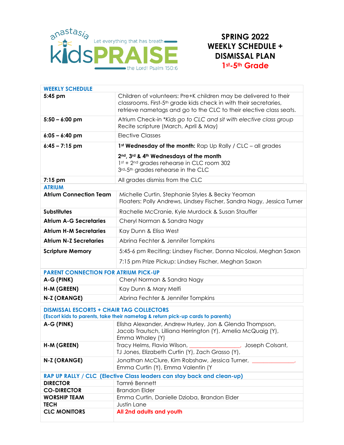

### **SPRING 2022 WEEKLY SCHEDULE + DISMISSAL PLAN 1st-5th Grade**

| <b>WEEKLY SCHEDULE</b>                                                                                                            |                                                                                                                                                                                                                         |
|-----------------------------------------------------------------------------------------------------------------------------------|-------------------------------------------------------------------------------------------------------------------------------------------------------------------------------------------------------------------------|
| 5:45 pm                                                                                                                           | Children of volunteers: Pre+K children may be delivered to their<br>classrooms. First-5 <sup>th</sup> grade kids check in with their secretaries,<br>retrieve nametags and go to the CLC to their elective class seats. |
| $5:50 - 6:00$ pm                                                                                                                  | Atrium Check-in *Kids go to CLC and sit with elective class group<br>Recite scripture (March, April & May)                                                                                                              |
| $6:05 - 6:40$ pm                                                                                                                  | <b>Elective Classes</b>                                                                                                                                                                                                 |
| $6:45 - 7:15$ pm                                                                                                                  | 1 <sup>st</sup> Wednesday of the month: Rap Up Rally / CLC - all grades                                                                                                                                                 |
|                                                                                                                                   | 2nd, 3rd & 4th Wednesdays of the month<br>1st + 2 <sup>nd</sup> grades rehearse in CLC room 302<br>3rd-5th grades rehearse in the CLC                                                                                   |
| $7:15$ pm                                                                                                                         | All grades dismiss from the CLC                                                                                                                                                                                         |
| <b>ATRIUM</b>                                                                                                                     |                                                                                                                                                                                                                         |
| <b>Atrium Connection Team</b>                                                                                                     | Michelle Curtin, Stephanie Styles & Becky Yeoman<br>Floaters: Polly Andrews, Lindsey Fischer, Sandra Nagy, Jessica Turner                                                                                               |
| <b>Substitutes</b>                                                                                                                | Rachelle McCranie, Kyle Murdock & Susan Stauffer                                                                                                                                                                        |
| <b>Atrium A-G Secretaries</b>                                                                                                     | Cheryl Norman & Sandra Nagy                                                                                                                                                                                             |
| <b>Atrium H-M Secretaries</b>                                                                                                     | Kay Dunn & Elisa West                                                                                                                                                                                                   |
| <b>Atrium N-Z Secretaries</b>                                                                                                     | Abrina Fechter & Jennifer Tompkins                                                                                                                                                                                      |
| <b>Scripture Memory</b>                                                                                                           | 5:45-6 pm Reciting: Lindsey Fischer, Donna Nicolosi, Meghan Saxon                                                                                                                                                       |
|                                                                                                                                   | 7:15 pm Prize Pickup: Lindsey Fischer, Meghan Saxon                                                                                                                                                                     |
| <b>PARENT CONNECTION FOR ATRIUM PICK-UP</b>                                                                                       |                                                                                                                                                                                                                         |
| A-G (PINK)                                                                                                                        | Cheryl Norman & Sandra Nagy                                                                                                                                                                                             |
| H-M (GREEN)                                                                                                                       | Kay Dunn & Mary Melfi                                                                                                                                                                                                   |
| N-Z (ORANGE)                                                                                                                      | Abrina Fechter & Jennifer Tompkins                                                                                                                                                                                      |
| <b>DISMISSAL ESCORTS + CHAIR TAG COLLECTORS</b><br>(Escort kids to parents, take their nametag & return pick-up cards to parents) |                                                                                                                                                                                                                         |
| A-G (PINK)                                                                                                                        | Elisha Alexander, Andrew Hurley, Jon & Glenda Thompson,<br>Jacob Trautsch, Lilliana Herrington (Y), Amelia McQuaig (Y),<br>Emma Whaley (Y)                                                                              |
| H-M (GREEN)                                                                                                                       | Tracy Helms, Flavia Wilson, Changellehman, Joseph Colsant,<br>TJ Jones, Elizabeth Curtin (Y), Zach Grasso (Y),                                                                                                          |
| N-Z (ORANGE)                                                                                                                      | Jonathan McClure, Kim Robshaw, Jessica Turner,<br>Emma Curtin (Y), Emma Valentin (Y                                                                                                                                     |
|                                                                                                                                   | RAP UP RALLY / CLC (Elective Class leaders can stay back and clean-up)                                                                                                                                                  |
| <b>DIRECTOR</b>                                                                                                                   | Tamré Bennett                                                                                                                                                                                                           |
| <b>CO-DIRECTOR</b>                                                                                                                | <b>Brandon Elder</b>                                                                                                                                                                                                    |
| <b>WORSHIP TEAM</b>                                                                                                               | Emma Curtin, Danielle Dzioba, Brandon Elder                                                                                                                                                                             |
| <b>TECH</b>                                                                                                                       | Justin Lane                                                                                                                                                                                                             |
| <b>CLC MONITORS</b>                                                                                                               | All 2nd adults and youth                                                                                                                                                                                                |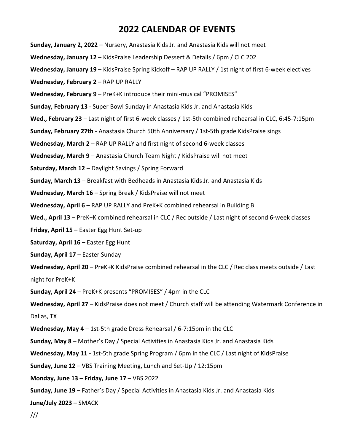### **2022 CALENDAR OF EVENTS**

**Sunday, January 2, 2022** – Nursery, Anastasia Kids Jr. and Anastasia Kids will not meet

**Wednesday, January 12** – KidsPraise Leadership Dessert & Details / 6pm / CLC 202

**Wednesday, January 19** – [KidsPraise](https://anastasiakids.com/midweek-kidspraise/) Spring Kickoff – RAP UP RALLY / 1st night of first 6-week electives

**Wednesday, February 2** – RAP UP RALLY

**Wednesday, February 9** – PreK+K introduce their mini-musical "PROMISES"

**Sunday, February 13** - Super Bowl Sunday in Anastasia Kids Jr. and Anastasia Kids

**Wed., February 23** – Last night of first 6-week classes / 1st-5th combined rehearsal in CLC, 6:45-7:15pm

**Sunday, February 27th** - Anastasia Church 50th Anniversary / 1st-5th grade KidsPraise sings

**Wednesday, March 2** – RAP UP RALLY and first night of second 6-week classes

**Wednesday, March 9** – Anastasia Church Team Night / KidsPraise will not meet

**Saturday, March 12** – Daylight Savings / Spring Forward

**Sunday, March 13** – Breakfast with Bedheads in Anastasia Kids Jr. and Anastasia Kids

**Wednesday, March 16** – Spring Break / KidsPraise will not meet

**Wednesday, April 6** – RAP UP RALLY and PreK+K combined rehearsal in Building B

**Wed., April 13** – PreK+K combined rehearsal in CLC / Rec outside / Last night of second 6-week classes

**Friday, April 15** – Easter Egg Hunt Set-up

**Saturday, April 16** – Easter Egg Hunt

**Sunday, April 17** – Easter Sunday

**Wednesday, April 20** – PreK+K KidsPraise combined rehearsal in the CLC / Rec class meets outside / Last night for PreK+K

**Sunday, April 24** – PreK+K presents "PROMISES" / 4pm in the CLC

Wednesday, April 27 - KidsPraise does not meet / Church staff will be attending Watermark Conference in Dallas, TX

**Wednesday, May 4** – 1st-5th grade Dress Rehearsal / 6-7:15pm in the CLC

**Sunday, May 8** – Mother's Day / Special Activities in Anastasia Kids Jr. and Anastasia Kids

**Wednesday, May 11 -** 1st-5th grade Spring Program / 6pm in the CLC / Last night of KidsPraise

**Sunday, June 12** – VBS Training Meeting, Lunch and Set-Up / 12:15pm

**Monday, June 13 – Friday, June 17** – VBS 2022

**Sunday, June 19** – Father's Day / Special Activities in Anastasia Kids Jr. and Anastasia Kids

**June/July 2023** – SMACK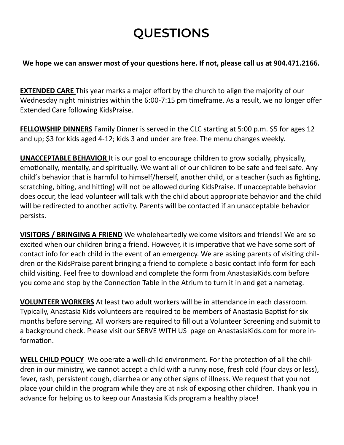## **QUESTIONS**

### **We hope we can answer most of your questions here. If not, please call us at 904.471.2166.**

**EXTENDED CARE** This year marks a major effort by the church to align the majority of our Wednesday night ministries within the 6:00-7:15 pm timeframe. As a result, we no longer offer Extended Care following KidsPraise.

**FELLOWSHIP DINNERS** Family Dinner is served in the CLC starting at 5:00 p.m. \$5 for ages 12 and up; \$3 for kids aged 4-12; kids 3 and under are free. The menu changes weekly.

**UNACCEPTABLE BEHAVIOR** It is our goal to encourage children to grow socially, physically, emotionally, mentally, and spiritually. We want all of our children to be safe and feel safe. Any child's behavior that is harmful to himself/herself, another child, or a teacher (such as fighting, scratching, biting, and hitting) will not be allowed during KidsPraise. If unacceptable behavior does occur, the lead volunteer will talk with the child about appropriate behavior and the child will be redirected to another activity. Parents will be contacted if an unacceptable behavior persists.

**VISITORS / BRINGING A FRIEND** We wholeheartedly welcome visitors and friends! We are so excited when our children bring a friend. However, it is imperative that we have some sort of contact info for each child in the event of an emergency. We are asking parents of visiting children or the KidsPraise parent bringing a friend to complete a basic contact info form for each child visiting. Feel free to download and complete the form from AnastasiaKids.com before you come and stop by the Connection Table in the Atrium to turn it in and get a nametag.

**VOLUNTEER WORKERS** At least two adult workers will be in attendance in each classroom. Typically, Anastasia Kids volunteers are required to be members of Anastasia Baptist for six months before serving. All workers are required to fill out a Volunteer Screening and submit to a background check. Please visit our SERVE WITH US page on AnastasiaKids.com for more information.

**WELL CHILD POLICY** We operate a well-child environment. For the protection of all the children in our ministry, we cannot accept a child with a runny nose, fresh cold (four days or less), fever, rash, persistent cough, diarrhea or any other signs of illness. We request that you not place your child in the program while they are at risk of exposing other children. Thank you in advance for helping us to keep our Anastasia Kids program a healthy place!